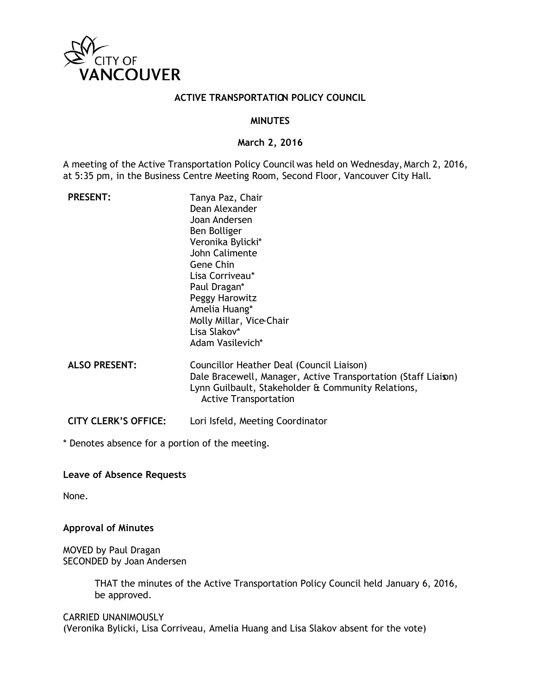

#### **ACTIVE TRANSPORTATION POLICY COUNCIL**

#### **MINUTES**

#### **March 2, 2016**

A meeting of the Active Transportation Policy Council was held on Wednesday, March 2, 2016, at 5:35 pm, in the Business Centre Meeting Room, Second Floor, Vancouver City Hall.

| <b>PRESENT:</b>             | Tanya Paz, Chair<br>Dean Alexander<br>Joan Andersen<br>Ben Bolliger<br>Veronika Bylicki*<br>John Calimente<br>Gene Chin<br>Lisa Corriveau*<br>Paul Dragan*<br>Peggy Harowitz<br>Amelia Huang*<br>Molly Millar, Vice-Chair<br>Lisa Slakov*<br>Adam Vasilevich* |
|-----------------------------|---------------------------------------------------------------------------------------------------------------------------------------------------------------------------------------------------------------------------------------------------------------|
| <b>ALSO PRESENT:</b>        | Councillor Heather Deal (Council Liaison)<br>Dale Bracewell, Manager, Active Transportation (Staff Liaison)<br>Lynn Guilbault, Stakeholder & Community Relations,<br><b>Active Transportation</b>                                                             |
| <b>CITY CLERK'S OFFICE:</b> | Lori Isfeld, Meeting Coordinator                                                                                                                                                                                                                              |

\* Denotes absence for a portion of the meeting.

**Leave of Absence Requests**

None.

#### **Approval of Minutes**

MOVED by Paul Dragan SECONDED by Joan Andersen

> THAT the minutes of the Active Transportation Policy Council held January 6, 2016, be approved.

CARRIED UNANIMOUSLY (Veronika Bylicki, Lisa Corriveau, Amelia Huang and Lisa Slakov absent for the vote)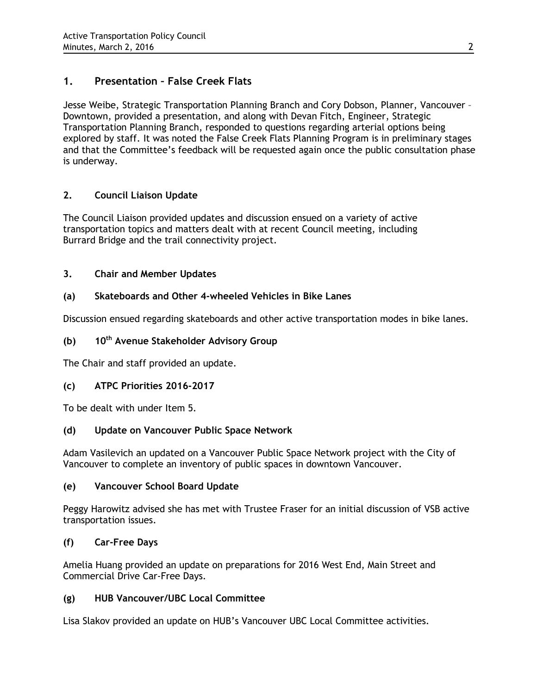# **1. Presentation – False Creek Flats**

Jesse Weibe, Strategic Transportation Planning Branch and Cory Dobson, Planner, Vancouver – Downtown, provided a presentation, and along with Devan Fitch, Engineer, Strategic Transportation Planning Branch, responded to questions regarding arterial options being explored by staff. It was noted the False Creek Flats Planning Program is in preliminary stages and that the Committee's feedback will be requested again once the public consultation phase is underway.

## **2. Council Liaison Update**

The Council Liaison provided updates and discussion ensued on a variety of active transportation topics and matters dealt with at recent Council meeting, including Burrard Bridge and the trail connectivity project.

## **3. Chair and Member Updates**

## **(a) Skateboards and Other 4-wheeled Vehicles in Bike Lanes**

Discussion ensued regarding skateboards and other active transportation modes in bike lanes.

## **(b) 10th Avenue Stakeholder Advisory Group**

The Chair and staff provided an update.

## **(c) ATPC Priorities 2016-2017**

To be dealt with under Item 5.

## **(d) Update on Vancouver Public Space Network**

Adam Vasilevich an updated on a Vancouver Public Space Network project with the City of Vancouver to complete an inventory of public spaces in downtown Vancouver.

## **(e) Vancouver School Board Update**

Peggy Harowitz advised she has met with Trustee Fraser for an initial discussion of VSB active transportation issues.

## **(f) Car-Free Days**

Amelia Huang provided an update on preparations for 2016 West End, Main Street and Commercial Drive Car-Free Days.

## **(g) HUB Vancouver/UBC Local Committee**

Lisa Slakov provided an update on HUB's Vancouver UBC Local Committee activities.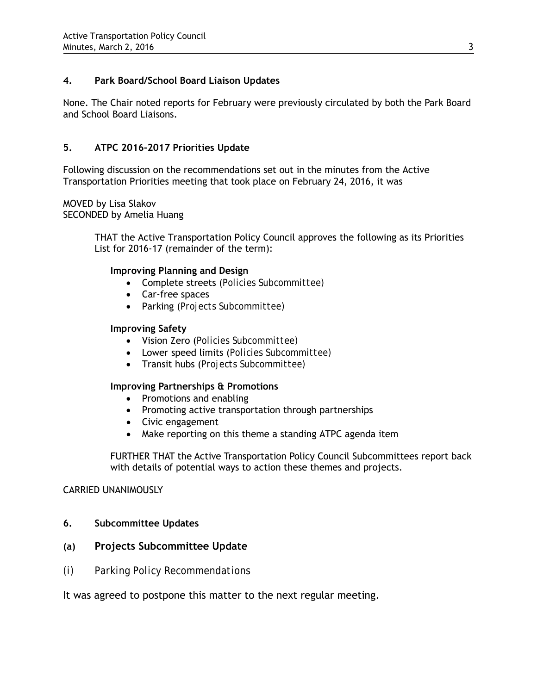### **4. Park Board/School Board Liaison Updates**

None. The Chair noted reports for February were previously circulated by both the Park Board and School Board Liaisons.

### **5. ATPC 2016-2017 Priorities Update**

Following discussion on the recommendations set out in the minutes from the Active Transportation Priorities meeting that took place on February 24, 2016, it was

MOVED by Lisa Slakov SECONDED by Amelia Huang

> THAT the Active Transportation Policy Council approves the following as its Priorities List for 2016-17 (remainder of the term):

### **Improving Planning and Design**

- Complete streets (*Policies Subcommittee)*
- Car-free spaces
- Parking (*Projects Subcommittee)*

#### **Improving Safety**

- Vision Zero (*Policies Subcommittee)*
- Lower speed limits (*Policies Subcommittee)*
- Transit hubs (*Projects Subcommittee)*

### **Improving Partnerships & Promotions**

- Promotions and enabling
- Promoting active transportation through partnerships
- Civic engagement
- Make reporting on this theme a standing ATPC agenda item

FURTHER THAT the Active Transportation Policy Council Subcommittees report back with details of potential ways to action these themes and projects.

#### CARRIED UNANIMOUSLY

**6. Subcommittee Updates**

### **(a) Projects Subcommittee Update**

*(i) Parking Policy Recommendations* 

It was agreed to postpone this matter to the next regular meeting.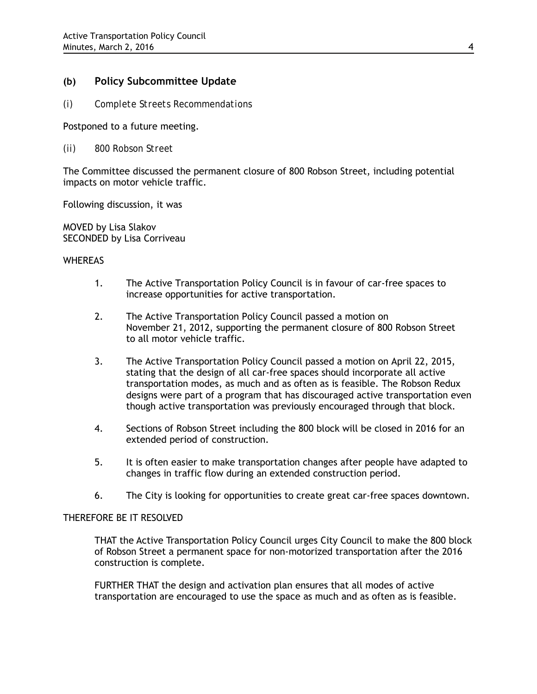### **(b) Policy Subcommittee Update**

*(i) Complete Streets Recommendations*

Postponed to a future meeting.

*(ii) 800 Robson Street*

The Committee discussed the permanent closure of 800 Robson Street, including potential impacts on motor vehicle traffic.

Following discussion, it was

MOVED by Lisa Slakov SECONDED by Lisa Corriveau

#### WHEREAS

- 1. The Active Transportation Policy Council is in favour of car-free spaces to increase opportunities for active transportation.
- 2. The Active Transportation Policy Council passed a motion on November 21, 2012, supporting the permanent closure of 800 Robson Street to all motor vehicle traffic.
- 3. The Active Transportation Policy Council passed a motion on April 22, 2015, stating that the design of all car-free spaces should incorporate all active transportation modes, as much and as often as is feasible. The Robson Redux designs were part of a program that has discouraged active transportation even though active transportation was previously encouraged through that block.
- 4. Sections of Robson Street including the 800 block will be closed in 2016 for an extended period of construction.
- 5. It is often easier to make transportation changes after people have adapted to changes in traffic flow during an extended construction period.
- 6. The City is looking for opportunities to create great car-free spaces downtown.

#### THEREFORE BE IT RESOLVED

THAT the Active Transportation Policy Council urges City Council to make the 800 block of Robson Street a permanent space for non-motorized transportation after the 2016 construction is complete.

FURTHER THAT the design and activation plan ensures that all modes of active transportation are encouraged to use the space as much and as often as is feasible.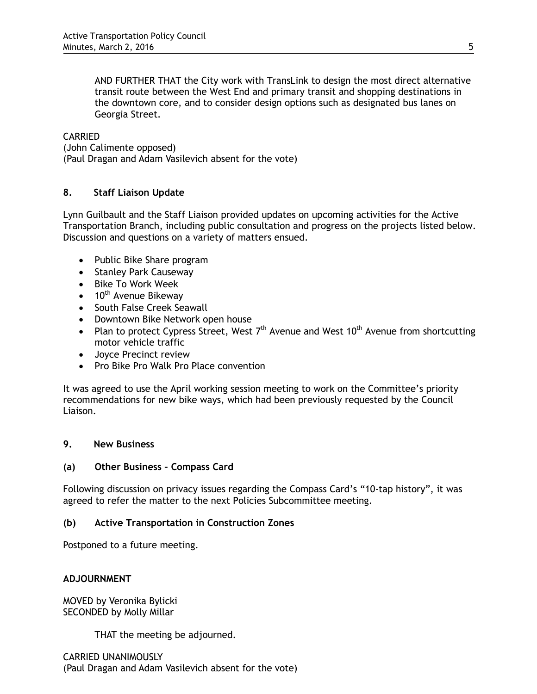AND FURTHER THAT the City work with TransLink to design the most direct alternative transit route between the West End and primary transit and shopping destinations in the downtown core, and to consider design options such as designated bus lanes on Georgia Street.

#### CARRIED

(John Calimente opposed) (Paul Dragan and Adam Vasilevich absent for the vote)

### **8. Staff Liaison Update**

Lynn Guilbault and the Staff Liaison provided updates on upcoming activities for the Active Transportation Branch, including public consultation and progress on the projects listed below. Discussion and questions on a variety of matters ensued.

- Public Bike Share program
- Stanley Park Causeway
- Bike To Work Week
- $\bullet$  10<sup>th</sup> Avenue Bikeway
- South False Creek Seawall
- Downtown Bike Network open house
- Plan to protect Cypress Street, West  $7<sup>th</sup>$  Avenue and West 10<sup>th</sup> Avenue from shortcutting motor vehicle traffic
- Joyce Precinct review
- Pro Bike Pro Walk Pro Place convention

It was agreed to use the April working session meeting to work on the Committee's priority recommendations for new bike ways, which had been previously requested by the Council Liaison.

### **9. New Business**

### **(a) Other Business – Compass Card**

Following discussion on privacy issues regarding the Compass Card's "10-tap history", it was agreed to refer the matter to the next Policies Subcommittee meeting.

### **(b) Active Transportation in Construction Zones**

Postponed to a future meeting.

### **ADJOURNMENT**

MOVED by Veronika Bylicki SECONDED by Molly Millar

THAT the meeting be adjourned.